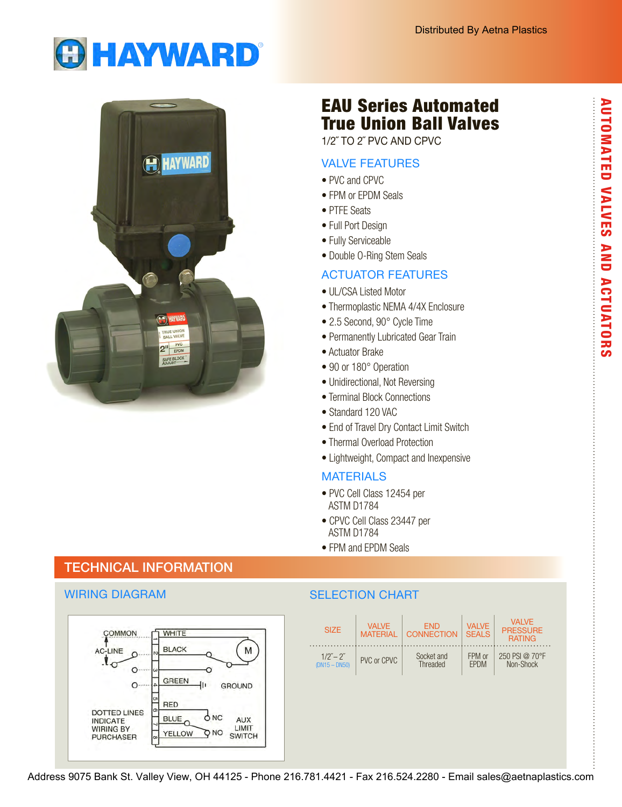



# TECHNICAL INFORMATION

## WIRING DIAGRAM



# EAU Series Automated True Union Ball Valves

1/2˝ TO 2˝ PVC AND CPVC

## VALVE FEATURES

- PVC and CPVC
- FPM or EPDM Seals
- PTFE Seats
- Full Port Design
- Fully Serviceable
- Double O-Ring Stem Seals

## ACTUATOR FEATURES

- UL/CSA Listed Motor
- Thermoplastic NEMA 4/4X Enclosure
- 2.5 Second, 90° Cycle Time
- Permanently Lubricated Gear Train
- Actuator Brake
- 90 or 180° Operation
- Unidirectional, Not Reversing
- Terminal Block Connections
- Standard 120 VAC
- End of Travel Dry Contact Limit Switch
- Thermal Overload Protection
- Lightweight, Compact and Inexpensive

## **MATERIALS**

- PVC Cell Class 12454 per ASTM D1784
- CPVC Cell Class 23447 per ASTM D1784
- FPM and EPDM Seals

## SELECTION CHART